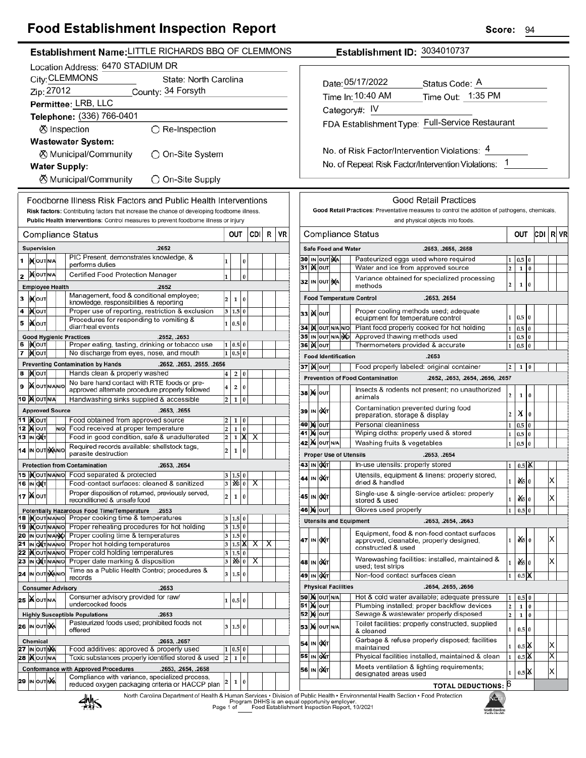## **Food Establishment Inspection Report**

| ood Establishment mspection Report                                                                                                            |                                                 | ocore.<br>94                                                                                                                                                 |                         |  |  |
|-----------------------------------------------------------------------------------------------------------------------------------------------|-------------------------------------------------|--------------------------------------------------------------------------------------------------------------------------------------------------------------|-------------------------|--|--|
| Establishment Name: LITTLE RICHARDS BBQ OF CLEMMONS                                                                                           |                                                 | Establishment ID: 3034010737                                                                                                                                 |                         |  |  |
| Location Address: 6470 STADIUM DR                                                                                                             |                                                 |                                                                                                                                                              |                         |  |  |
| City: CLEMMONS<br>State: North Carolina                                                                                                       |                                                 | Date: 05/17/2022                                                                                                                                             |                         |  |  |
| Zip: 27012<br>County: 34 Forsyth                                                                                                              |                                                 | Status Code: A                                                                                                                                               |                         |  |  |
| Permittee: LRB, LLC                                                                                                                           |                                                 | Time Out: 1:35 PM<br>Time In: 10:40 AM                                                                                                                       |                         |  |  |
| Telephone: (336) 766-0401                                                                                                                     |                                                 | Category#: IV                                                                                                                                                |                         |  |  |
| ⊗ Inspection<br>$\bigcirc$ Re-Inspection                                                                                                      |                                                 | FDA Establishment Type: Full-Service Restaurant                                                                                                              |                         |  |  |
| <b>Wastewater System:</b>                                                                                                                     |                                                 |                                                                                                                                                              |                         |  |  |
| <b>X</b> Municipal/Community<br>◯ On-Site System                                                                                              |                                                 | No. of Risk Factor/Intervention Violations: 4                                                                                                                |                         |  |  |
|                                                                                                                                               |                                                 | No. of Repeat Risk Factor/Intervention Violations: 1                                                                                                         |                         |  |  |
| <b>Water Supply:</b>                                                                                                                          |                                                 |                                                                                                                                                              |                         |  |  |
| <b><math>\oslash</math> Municipal/Community</b><br>◯ On-Site Supply                                                                           |                                                 |                                                                                                                                                              |                         |  |  |
| Foodborne Illness Risk Factors and Public Health Interventions                                                                                |                                                 | <b>Good Retail Practices</b>                                                                                                                                 |                         |  |  |
| Risk factors: Contributing factors that increase the chance of developing foodborne illness.                                                  |                                                 | Good Retail Practices: Preventative measures to control the addition of pathogens, chemicals,                                                                |                         |  |  |
| Public Health Interventions: Control measures to prevent foodborne illness or injury                                                          |                                                 | and physical objects into foods.                                                                                                                             |                         |  |  |
| Compliance Status                                                                                                                             | CDI R<br><b>VR</b><br>OUT                       | <b>Compliance Status</b><br>OUT                                                                                                                              | CDI R VI                |  |  |
| Supervision<br>.2652                                                                                                                          |                                                 | <b>Safe Food and Water</b><br>.2653, .2655, .2658                                                                                                            |                         |  |  |
| PIC Present, demonstrates knowledge, &<br>1  KOUTNA<br>performs duties                                                                        | 0                                               | 30 IN OUT NA<br>Pasteurized eggs used where required<br>$1 \mid 0.5 \mid 0$                                                                                  |                         |  |  |
| <b>NOUT N/A</b><br>Certified Food Protection Manager<br>2                                                                                     | $\bf{0}$                                        | 31   <b>X</b>   OUT<br>$1\ 0$<br>Water and ice from approved source<br> 2                                                                                    |                         |  |  |
| <b>Employee Health</b><br>.2652                                                                                                               |                                                 | Variance obtained for specialized processing<br>32 IN OUT NA<br>$\overline{2}$<br>$\mathbf{1}$<br>0<br>methods                                               |                         |  |  |
| Management, food & conditional employee;<br>3<br><b>XOUT</b><br>12                                                                            | $\mathbf{1}$<br>$\pmb{0}$                       | <b>Food Temperature Control</b><br>.2653, .2654                                                                                                              |                         |  |  |
| knowledge, responsibilities & reporting<br>Proper use of reporting, restriction & exclusion<br>4 <b>Kout</b>                                  | 3   1.5   0                                     | Proper cooling methods used; adequate                                                                                                                        |                         |  |  |
| Procedures for responding to vomiting &<br><b>XOUT</b><br>5                                                                                   | 1 0.5 0                                         | ззі ) (олт<br>$1 \ 0.5 \ 0$<br>equipment for temperature control                                                                                             |                         |  |  |
| diarrheal events                                                                                                                              |                                                 | Plant food properly cooked for hot holding<br>34 K OUT N/A N/O<br>$1\quad0.5\quad0$<br>Approved thawing methods used                                         |                         |  |  |
| <b>Good Hygienic Practices</b><br>.2652, .2653<br>6  )Х∣о∪т<br>Proper eating, tasting, drinking or tobacco use                                | 1   0.5   0                                     | 35 IN OUT N/A NO<br>$1 \quad 0.5 \quad 0$<br><b>36 Mout</b><br>Thermometers provided & accurate<br>$1 \vert 0.5 \vert 0$                                     |                         |  |  |
| 7 Mout<br>No discharge from eyes, nose, and mouth                                                                                             | $1 \ 0.5 \ 0$                                   | <b>Food Identification</b><br>.2653                                                                                                                          |                         |  |  |
| <b>Preventing Contamination by Hands</b><br>.2652, .2653, .2655, .2656                                                                        |                                                 | <b>37 X OUT</b><br>Food properly labeled: original container<br>$2 \mid 1 \mid 0$                                                                            |                         |  |  |
| 8 Молт<br>Hands clean & properly washed<br>4<br>No bare hand contact with RTE foods or pre-                                                   | 2 0                                             | <b>Prevention of Food Contamination</b><br>.2652, .2653, .2654, .2656, .2657                                                                                 |                         |  |  |
| 9 XOUTNANO<br>$\overline{4}$<br>approved alternate procedure properly followed                                                                | $\overline{2}$<br>$\pmb{0}$                     | Insects & rodents not present; no unauthorized<br><b>38 X OUT</b><br>$\vert$ 2<br>$1 \vert 0$                                                                |                         |  |  |
| <b>10 MOUTINA</b><br>Handwashing sinks supplied & accessible<br>2                                                                             | $\pmb{0}$<br>$1 \vert$                          | animals<br>Contamination prevented during food                                                                                                               |                         |  |  |
| <b>Approved Source</b><br>.2653, .2655<br>11   <b>M</b> OUT<br>Food obtained from approved source                                             | 1 0                                             | 39 IN QAT<br>X <sub>0</sub><br>$\vert$ 2<br>preparation, storage & display                                                                                   |                         |  |  |
| $\vert$ <sub>2</sub><br>12 <b>X OUT</b><br>Food received at proper temperature<br>$\overline{2}$<br>N/O                                       | 1 0                                             | <b>40 M OUT</b><br>Personal cleanliness<br>$1\quad0.5\quad0$                                                                                                 |                         |  |  |
| 13 IN OXT<br>Food in good condition, safe & unadulterated<br>$\overline{2}$                                                                   | $1 \mid X \mid X$                               | Wiping cloths: properly used & stored<br><b>41 )x</b> ouт<br>$1 \vert 0.5 \vert 0$<br><b>42 X</b> OUT N/A<br>Washing fruits & vegetables<br>$1 \ 0.5$<br>l 0 |                         |  |  |
| Required records available: shellstock tags,<br>14 IN OUT NANO<br>2<br>parasite destruction                                                   | $\bf{0}$<br>$1\vert$                            | <b>Proper Use of Utensils</b><br>.2653, .2654                                                                                                                |                         |  |  |
| <b>Protection from Contamination</b><br>.2653, .2654                                                                                          |                                                 | 43 IN OXT<br>In-use utensils: properly stored<br>$1 \mid 0.5 \mid \mathsf{X}$                                                                                |                         |  |  |
| 15   <b>K</b> out NANO Food separated & protected<br>3                                                                                        | 1.5 0                                           | Utensils, equipment & linens: properly stored,<br>44 IN OXT                                                                                                  |                         |  |  |
| Food-contact surfaces: cleaned & sanitized<br>16 IN OXT<br>3                                                                                  | $ \mathbf{x} $ $\propto$                        | $x_0$<br>1<br>dried & handled                                                                                                                                | X                       |  |  |
| Proper disposition of returned, previously served,<br>17   Nout<br>2<br>reconditioned & unsafe food                                           | $\bf{0}$<br>1                                   | Single-use & single-service articles: properly<br>45 IN OUT<br>$\frac{d}{d}$ 0<br>1<br>stored & used                                                         | X                       |  |  |
| Potentially Hazardous Food Time/Temperature<br>.2653                                                                                          |                                                 | Gloves used properly<br><b>46 X OUT</b><br>1<br>$0.5\vert 0$                                                                                                 |                         |  |  |
| 18 Mout NANO Proper cooking time & temperatures<br>19 Xout NAVO Proper reheating procedures for hot holding                                   | 3 1.5 0<br>$3 \ 1.5 \ 0$                        | <b>Utensils and Equipment</b><br>.2653, .2654, .2663                                                                                                         |                         |  |  |
| 20 IN OUT N/ANO Proper cooling time & temperatures                                                                                            | 3   1.5   0                                     | Equipment, food & non-food contact surfaces<br>oX5 lo<br>47 IN OXT<br>1                                                                                      | $ {\mathsf X} $         |  |  |
| 21 IN ONTINANIO Proper hot holding temperatures<br>3                                                                                          | $1.5$ $\mathsf{X}$<br>$\overline{X}$<br>X       | approved, cleanable, properly designed,<br>constructed & used                                                                                                |                         |  |  |
| 22   Nout NAVIO Proper cold holding temperatures<br>3<br>23 IN ONTINANIO Proper date marking & disposition<br>3                               | 1.5 0<br>$\sqrt{ \mathbf{w} ^2 + \mathbf{w}^2}$ | Warewashing facilities: installed, maintained &<br>$\frac{d}{d}$ 0<br>48 IN OXT<br>$\mathbf{1}$                                                              | X                       |  |  |
| Time as a Public Health Control; procedures &<br>24 IN OUT MANO<br>3                                                                          | 1.5 0                                           | used; test strips<br>49 IN OXT<br>Non-food contact surfaces clean<br>1                                                                                       |                         |  |  |
| records                                                                                                                                       |                                                 | $0.5\,$ $\mathsf{X}$<br><b>Physical Facilities</b><br>.2654, .2655, .2656                                                                                    |                         |  |  |
| <b>Consumer Advisory</b><br>.2653<br>Consumer advisory provided for raw/<br><b>25 WOUTNA</b>                                                  |                                                 | <b>50 X</b> OUT N/A<br>Hot & cold water available; adequate pressure<br>$0.5$ 0<br>$\vert$ 1                                                                 |                         |  |  |
| undercooked foods                                                                                                                             | 1   0.5   0                                     | <b>51 Mour</b><br>Plumbing installed; proper backflow devices<br>$\vert$ 2<br>0<br>$1\,$                                                                     |                         |  |  |
| <b>Highly Susceptible Populations</b><br>.2653<br>Pasteurized foods used; prohibited foods not                                                |                                                 | 10<br>52 X олт<br>Sewage & wastewater properly disposed<br>$\overline{2}$                                                                                    |                         |  |  |
| <b>26 IN OUT NA</b><br>offered                                                                                                                | 3   1.5   0                                     | Toilet facilities: properly constructed, supplied<br><b>53 X</b> OUT N/A<br>1<br>$0.5\vert 0$<br>& cleaned                                                   |                         |  |  |
| Chemical<br>.2653, .2657                                                                                                                      |                                                 | Garbage & refuse properly disposed; facilities<br>54 IN OXT<br>$0.5$ $\mathbb{X}$<br>1                                                                       | X                       |  |  |
| Food additives: approved & properly used<br><b>27  ι</b> ν  ουτ λχλ <br>1<br>Toxic substances properly identified stored & used<br>28   OUTNA | 0.5 0<br>1 0                                    | maintained<br>$0.5$ X<br>55 IN OXT<br>Physical facilities installed, maintained & clean<br>l1                                                                | $\overline{\mathsf{x}}$ |  |  |
| <b>Conformance with Approved Procedures</b><br>.2653, .2654, .2658                                                                            |                                                 | Meets ventilation & lighting requirements;                                                                                                                   |                         |  |  |
| Compliance with variance, specialized process,<br>29 IN OUT NA                                                                                |                                                 | 56 IN OXT<br>$0.5$ $\mathbb{X}$<br>1<br>designated areas used                                                                                                | $\vert$ X $\vert$       |  |  |
| $\mathbf 1$<br>$\pmb{0}$<br><b>TOTAL DEDUCTIONS: 6</b><br>reduced oxygen packaging criteria or HACCP plan                                     |                                                 |                                                                                                                                                              |                         |  |  |

NGPH North Carolina<br>Public Health

North Carolina Department of Health & Human Services . Division of Public Health - Environmental Health Section - Food Protection<br>Program DHHS is an equal opportunity employer.<br>Food Establishment Inspection Report, 10/2021



Score: 94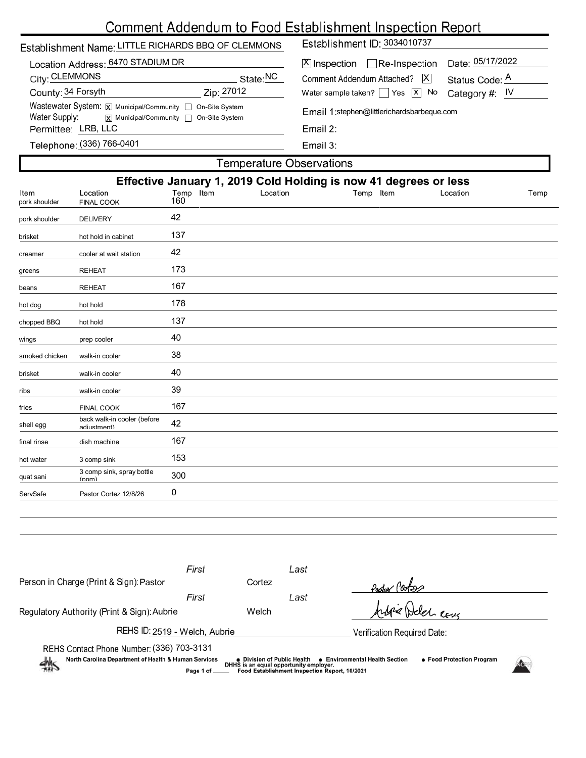# Comment Addendum to Food Establishment Inspection Report

| Establishment Name: LITTLE RICHARDS BBQ OF CLEMMONS                                                                                        | Establishment ID: 3034010737                                         |  |  |  |  |
|--------------------------------------------------------------------------------------------------------------------------------------------|----------------------------------------------------------------------|--|--|--|--|
| Location Address: 6470 STADIUM DR                                                                                                          | Date: 05/17/2022<br>$X$ Inspection Re-Inspection                     |  |  |  |  |
| City: CLEMMONS<br>State:NC                                                                                                                 | X <br>Comment Addendum Attached?<br>Status Code: A                   |  |  |  |  |
| County: 34 Forsyth<br>Zip: 27012                                                                                                           | Water sample taken? $\sqrt{Y}$ Yes $\sqrt{X}$ No<br>Category #: $IV$ |  |  |  |  |
| Wastewater System: $\boxtimes$ Municipal/Community $\Box$ On-Site System<br>Water Supply:<br><b>x</b> Municipal/Community □ On-Site System | Email 1:stephen@littlerichardsbarbeque.com                           |  |  |  |  |
| Permittee: LRB, LLC                                                                                                                        | Email $2:$                                                           |  |  |  |  |
| Telephone: (336) 766-0401                                                                                                                  | Email 3:                                                             |  |  |  |  |
| Temperature Observations                                                                                                                   |                                                                      |  |  |  |  |

Г

| Effective January 1, 2019 Cold Holding is now 41 degrees or less |                                            |                  |          |           |          |      |  |
|------------------------------------------------------------------|--------------------------------------------|------------------|----------|-----------|----------|------|--|
| Item<br>pork shoulder                                            | Location<br><b>FINAL COOK</b>              | Temp Item<br>160 | Location | Temp Item | Location | Temp |  |
| pork shoulder                                                    | <b>DELIVERY</b>                            | 42               |          |           |          |      |  |
| brisket                                                          | hot hold in cabinet                        | 137              |          |           |          |      |  |
| creamer                                                          | cooler at wait station                     | 42               |          |           |          |      |  |
| greens                                                           | <b>REHEAT</b>                              | 173              |          |           |          |      |  |
| beans                                                            | <b>REHEAT</b>                              | 167              |          |           |          |      |  |
| hot dog                                                          | hot hold                                   | 178              |          |           |          |      |  |
| chopped BBQ                                                      | hot hold                                   | 137              |          |           |          |      |  |
| wings                                                            | prep cooler                                | 40               |          |           |          |      |  |
| smoked chicken                                                   | walk-in cooler                             | 38               |          |           |          |      |  |
| brisket                                                          | walk-in cooler                             | 40               |          |           |          |      |  |
| ribs                                                             | walk-in cooler                             | 39               |          |           |          |      |  |
| fries                                                            | <b>FINAL COOK</b>                          | 167              |          |           |          |      |  |
| shell egg                                                        | back walk-in cooler (before<br>adiustment) | 42               |          |           |          |      |  |
| final rinse                                                      | dish machine                               | 167              |          |           |          |      |  |
| hot water                                                        | 3 comp sink                                | 153              |          |           |          |      |  |
| quat sani                                                        | 3 comp sink, spray bottle<br>(nnm)         | 300              |          |           |          |      |  |
| ServSafe                                                         | Pastor Cortez 12/8/26                      | 0                |          |           |          |      |  |

| Person in Charge (Print & Sign): Pastor                                                                                                                                                                                                                                                                         | First | Cortez | Last                        |                 |  |
|-----------------------------------------------------------------------------------------------------------------------------------------------------------------------------------------------------------------------------------------------------------------------------------------------------------------|-------|--------|-----------------------------|-----------------|--|
|                                                                                                                                                                                                                                                                                                                 | First |        | Last                        | Padox Pootse    |  |
| Regulatory Authority (Print & Sign): Aubrie                                                                                                                                                                                                                                                                     |       | Welch  |                             | Arbie Deler can |  |
| REHS ID: 2519 - Welch, Aubrie                                                                                                                                                                                                                                                                                   |       |        | Verification Required Date: |                 |  |
| REHS Contact Phone Number: (336) 703-3131<br>North Carolina Department of Health & Human Services<br>• Food Protection Program<br>• Environmental Health Section<br>● Division of Public Health<br>熱<br>DHHS is an equal opportunity employer.<br>Food Establishment Inspection Report, 10/2021<br>Page 1 of __ |       |        |                             |                 |  |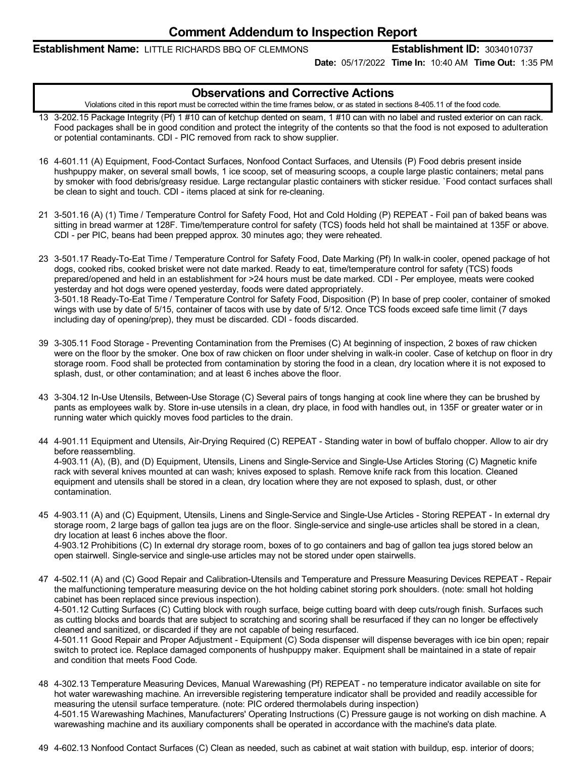#### **Establishment Name:** LITTLE RICHARDS BBQ OF CLEMMONS **Establishment ID:** 3034010737

**Date:** 05/17/2022 **Time In:** 10:40 AM **Time Out:** 1:35 PM

### **Observations and Corrective Actions**

Violations cited in this report must be corrected within the time frames below, or as stated in sections 8-405.11 of the food code.

- 13 3-202.15 Package Integrity (Pf) 1 #10 can of ketchup dented on seam, 1 #10 can with no label and rusted exterior on can rack. Food packages shall be in good condition and protect the integrity of the contents so that the food is not exposed to adulteration or potential contaminants. CDI - PIC removed from rack to show supplier.
- 16 4-601.11 (A) Equipment, Food-Contact Surfaces, Nonfood Contact Surfaces, and Utensils (P) Food debris present inside hushpuppy maker, on several small bowls, 1 ice scoop, set of measuring scoops, a couple large plastic containers; metal pans by smoker with food debris/greasy residue. Large rectangular plastic containers with sticker residue. `Food contact surfaces shall be clean to sight and touch. CDI - items placed at sink for re-cleaning.
- 21 3-501.16 (A) (1) Time / Temperature Control for Safety Food, Hot and Cold Holding (P) REPEAT Foil pan of baked beans was sitting in bread warmer at 128F. Time/temperature control for safety (TCS) foods held hot shall be maintained at 135F or above. CDI - per PIC, beans had been prepped approx. 30 minutes ago; they were reheated.
- 23 3-501.17 Ready-To-Eat Time / Temperature Control for Safety Food, Date Marking (Pf) In walk-in cooler, opened package of hot dogs, cooked ribs, cooked brisket were not date marked. Ready to eat, time/temperature control for safety (TCS) foods prepared/opened and held in an establishment for >24 hours must be date marked. CDI - Per employee, meats were cooked yesterday and hot dogs were opened yesterday, foods were dated appropriately. 3-501.18 Ready-To-Eat Time / Temperature Control for Safety Food, Disposition (P) In base of prep cooler, container of smoked wings with use by date of 5/15, container of tacos with use by date of 5/12. Once TCS foods exceed safe time limit (7 days including day of opening/prep), they must be discarded. CDI - foods discarded.
- 39 3-305.11 Food Storage Preventing Contamination from the Premises (C) At beginning of inspection, 2 boxes of raw chicken were on the floor by the smoker. One box of raw chicken on floor under shelving in walk-in cooler. Case of ketchup on floor in dry storage room. Food shall be protected from contamination by storing the food in a clean, dry location where it is not exposed to splash, dust, or other contamination; and at least 6 inches above the floor.
- 43 3-304.12 In-Use Utensils, Between-Use Storage (C) Several pairs of tongs hanging at cook line where they can be brushed by pants as employees walk by. Store in-use utensils in a clean, dry place, in food with handles out, in 135F or greater water or in running water which quickly moves food particles to the drain.
- 44 4-901.11 Equipment and Utensils, Air-Drying Required (C) REPEAT Standing water in bowl of buffalo chopper. Allow to air dry before reassembling. 4-903.11 (A), (B), and (D) Equipment, Utensils, Linens and Single-Service and Single-Use Articles Storing (C) Magnetic knife rack with several knives mounted at can wash; knives exposed to splash. Remove knife rack from this location. Cleaned equipment and utensils shall be stored in a clean, dry location where they are not exposed to splash, dust, or other contamination.
- 45 4-903.11 (A) and (C) Equipment, Utensils, Linens and Single-Service and Single-Use Articles Storing REPEAT In external dry storage room, 2 large bags of gallon tea jugs are on the floor. Single-service and single-use articles shall be stored in a clean, dry location at least 6 inches above the floor. 4-903.12 Prohibitions (C) In external dry storage room, boxes of to go containers and bag of gallon tea jugs stored below an open stairwell. Single-service and single-use articles may not be stored under open stairwells.
- 47 4-502.11 (A) and (C) Good Repair and Calibration-Utensils and Temperature and Pressure Measuring Devices REPEAT Repair the malfunctioning temperature measuring device on the hot holding cabinet storing pork shoulders. (note: small hot holding cabinet has been replaced since previous inspection). 4-501.12 Cutting Surfaces (C) Cutting block with rough surface, beige cutting board with deep cuts/rough finish. Surfaces such as cutting blocks and boards that are subject to scratching and scoring shall be resurfaced if they can no longer be effectively cleaned and sanitized, or discarded if they are not capable of being resurfaced. 4-501.11 Good Repair and Proper Adjustment - Equipment (C) Soda dispenser will dispense beverages with ice bin open; repair switch to protect ice. Replace damaged components of hushpuppy maker. Equipment shall be maintained in a state of repair and condition that meets Food Code.
- 48 4-302.13 Temperature Measuring Devices, Manual Warewashing (Pf) REPEAT no temperature indicator available on site for hot water warewashing machine. An irreversible registering temperature indicator shall be provided and readily accessible for measuring the utensil surface temperature. (note: PIC ordered thermolabels during inspection) 4-501.15 Warewashing Machines, Manufacturers' Operating Instructions (C) Pressure gauge is not working on dish machine. A warewashing machine and its auxiliary components shall be operated in accordance with the machine's data plate.
- 49 4-602.13 Nonfood Contact Surfaces (C) Clean as needed, such as cabinet at wait station with buildup, esp. interior of doors;